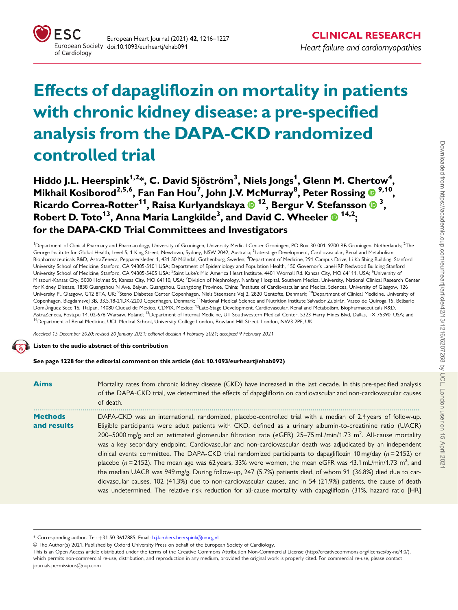

# Effects of dapagliflozin on mortality in patients with chronic kidney disease: a pre-specified analysis from the DAPA-CKD randomized controlled trial

Hiddo J.L. Heerspink $^{1,2}$ \*, C. David Sjöström $^3$ , Niels Jongs $^1$ , Glenn M. Chertow $^4$ , Mikhail Kosiborod<sup>2,5,6</sup>, Fan Fan Hou<sup>7</sup>, John J.V. McMurray<sup>8</sup>, Peter Rossing **®** <sup>9,10</sup>, Ricardo Correa-Rotter<sup>11</sup>, Raisa Kurlyandskaya ® <sup>12</sup>, Bergur V. Stefansson ® <sup>3</sup>, Robert D. Toto $^{13}$ , Anna Maria Langkilde $^{3}$ , and David C. Wheeler  $\tiny\textcircled{\small{p}}$   $^{14,2};$ for the DAPA-CKD Trial Committees and Investigators

<sup>1</sup>Department of Clinical Pharmacy and Pharmacology, University of Groningen, University Medical Center Groningen, PO Box 30 001, 9700 RB Groningen, Netherlands; <sup>2</sup>The George Institute for Global Health, Level 5, 1 King Street, Newtown, Sydney, NSW 2042, Australia; <sup>3</sup>Late-stage Development, Cardiovascular, Renal and Metabolism, Biopharmaceuticals R&D, AstraZeneca, Pepparedsleden 1, 431 50 Mölndal, Gothenburg, Sweden; <sup>4</sup>Department of Medicine, 291 Campus Drive, Li Ka Shing Building, Stanford University School of Medicine, Stanford, CA 94305-5101 USA; Department of Epidemiology and Population Health, 150 Governor's LaneHRP Redwood Building Stanford University School of Medicine, Stanford, CA 94305-5405 USA; <sup>5</sup>Saint Luke's Mid America Heart Institute, 4401 Wornall Rd. Kansas City, MO 64111, USA; <sup>6</sup>University of Missouri-Kansas City, 5000 Holmes St, Kansas City, MO 64110, USA; <sup>7</sup>Division of Nephrology, Nanfang Hospital, Southern Medical University, National Clinical Research Center for Kidney Disease, 1838 Guangzhou N Ave, Baiyun, Guangzhou, Guangdong Province, China; <sup>8</sup>Institute of Cardiovascular and Medical Sciences, University of Glasgow, 126 University Pl, Glasgow, G12 8TA, UK; <sup>9</sup>Steno Diabetes Center Copenhagen, Niels Steensens Vej 2, 2820 Gentofte, Denmark; <sup>10</sup>Department of Clinical Medicine, University of Copenhagen, Blegdamsvej 3B, 33.5.18-21DK-2200 Copenhagen, Denmark; <sup>11</sup>National Medical Science and Nutrition Institute Salvador Zubirán, Vasco de Quiroga 15, Belisario DomUnguez Secc 16, Tlalpan, 14080 Ciudad de México, CDMX, Mexico; <sup>12</sup>Late-Stage Development, Cardiovascular, Renal and Metabolism, Biopharmaceuticals R&D, AstraZeneca, Postepu 14, 02-676 Warsaw, Poland; <sup>13</sup>Department of Internal Medicine, UT Southwestern Medical Center, 5323 Harry Hines Blvd, Dallas, TX 75390, USA; and <sup>14</sup>Department of Renal Medicine, UCL Medical School, University College London, Rowland Hill Street, London, NW3 2PF, UK

Received 15 December 2020; revised 20 January 2021; editorial decision 4 February 2021; accepted 9 February 2021

Listen to the audio abstract of this contribution

See page 1228 for the editorial comment on this article (doi: 10.1093/eurheartj/ehab092)

| <b>Aims</b>                   | Mortality rates from chronic kidney disease (CKD) have increased in the last decade. In this pre-specified analysis<br>of the DAPA-CKD trial, we determined the effects of dapagliflozin on cardiovascular and non-cardiovascular causes<br>of death.                                                                                                                                                                                                                                                                                                                                                                                                                                                                                                                                                                                                                                                                                                                                                                                                                              |
|-------------------------------|------------------------------------------------------------------------------------------------------------------------------------------------------------------------------------------------------------------------------------------------------------------------------------------------------------------------------------------------------------------------------------------------------------------------------------------------------------------------------------------------------------------------------------------------------------------------------------------------------------------------------------------------------------------------------------------------------------------------------------------------------------------------------------------------------------------------------------------------------------------------------------------------------------------------------------------------------------------------------------------------------------------------------------------------------------------------------------|
| <b>Methods</b><br>and results | DAPA-CKD was an international, randomized, placebo-controlled trial with a median of 2.4 years of follow-up.<br>Eligible participants were adult patients with CKD, defined as a urinary albumin-to-creatinine ratio (UACR)<br>200–5000 mg/g and an estimated glomerular filtration rate (eGFR) 25–75 mL/min/1.73 m <sup>2</sup> . All-cause mortality<br>was a key secondary endpoint. Cardiovascular and non-cardiovascular death was adjudicated by an independent<br>clinical events committee. The DAPA-CKD trial randomized participants to dapagliflozin 10 mg/day ( $n = 2152$ ) or<br>placebo ( $n = 2152$ ). The mean age was 62 years, 33% were women, the mean eGFR was 43.1 mL/min/1.73 m <sup>2</sup> , and<br>the median UACR was 949 mg/g. During follow-up, 247 (5.7%) patients died, of whom 91 (36.8%) died due to car-<br>diovascular causes, 102 (41.3%) due to non-cardiovascular causes, and in 54 (21.9%) patients, the cause of death<br>was undetermined. The relative risk reduction for all-cause mortality with dapagliflozin (31%, hazard ratio [HR] |

<sup>\*</sup> Corresponding author. Tel: þ31 50 3617885, Email: h.j.lambers.heerspink@umcg.nl

V<sup>C</sup> The Author(s) 2021. Published by Oxford University Press on behalf of the European Society of Cardiology.

This is an Open Access article distributed under the terms of the Creative Commons Attribution Non-Commercial License [\(http://creativecommons.org/licenses/by-nc/4.0/\)](http://creativecommons.org/licenses/by-nc/4.0/). which permits non-commercial re-use, distribution, and reproduction in any medium, provided the original work is properly cited. For commercial re-use, please contact journals.permissions@oup.com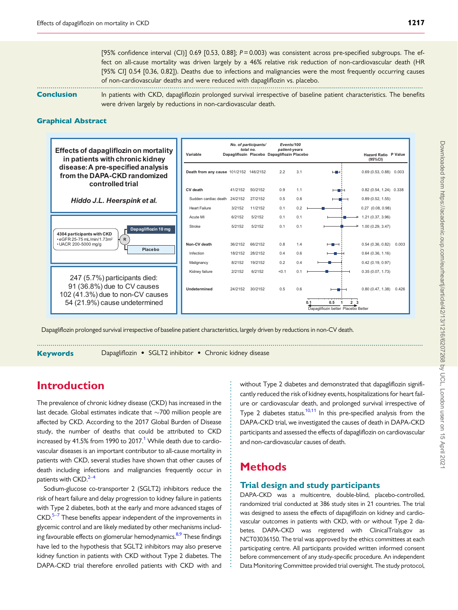[95% confidence interval (CI)] 0.69 [0.53, 0.88];  $P = 0.003$ ) was consistent across pre-specified subgroups. The effect on all-cause mortality was driven largely by a 46% relative risk reduction of non-cardiovascular death (HR [95% CI] 0.54 [0.36, 0.82]). Deaths due to infections and malignancies were the most frequently occurring causes of non-cardiovascular deaths and were reduced with dapagliflozin vs. placebo.

<span id="page-1-0"></span>Conclusion In patients with CKD, dapagliflozin prolonged survival irrespective of baseline patient characteristics. The benefits were driven largely by reductions in non-cardiovascular death.

#### Graphical Abstract



...................................................................................................................................................................................................

Dapagliflozin prolonged survival irrespective of baseline patient characteristics, largely driven by reductions in non-CV death.

Keywords Dapagliflozin • SGLT2 inhibitor • Chronic kidney disease

## Introduction

The prevalence of chronic kidney disease (CKD) has increased in the last decade. Global estimates indicate that  ${\sim}700$  million people are affected by CKD. According to the 2017 Global Burden of Disease study, the number of deaths that could be attributed to CKD increased by 41.5% from 1990 to  $2017<sup>1</sup>$  While death due to cardiovascular diseases is an important contributor to all-cause mortality in patients with CKD, several studies have shown that other causes of death including infections and malignancies frequently occur in patients with CKD.<sup>2-4</sup>

Sodium-glucose co-transporter 2 (SGLT2) inhibitors reduce the risk of heart failure and delay progression to kidney failure in patients with Type 2 diabetes, both at the early and more advanced stages of  $CKD.<sup>5-7</sup>$  These benefits appear independent of the improvements in glycemic control and are likely mediated by other mechanisms including favourable effects on glomerular hemodynamics. $8,9$  These findings have led to the hypothesis that SGLT2 inhibitors may also preserve kidney function in patients with CKD without Type 2 diabetes. The DAPA-CKD trial therefore enrolled patients with CKD with and

without Type 2 diabetes and demonstrated that dapagliflozin significantly reduced the risk of kidney events, hospitalizations for heart failure or cardiovascular death, and prolonged survival irrespective of Type 2 diabetes status.<sup>[10](#page-10-0),[11](#page-10-0)</sup> In this pre-specified analysis from the DAPA-CKD trial, we investigated the causes of death in DAPA-CKD participants and assessed the effects of dapagliflozin on cardiovascular and non-cardiovascular causes of death.

# **Methods**

. . . . . . . . . . . . . . . . . . . . . . . . . . . . . . . . . . . . . . . . . . . . . . . . . . . . . . . . . . . . . .

#### Trial design and study participants

DAPA-CKD was a multicentre, double-blind, placebo-controlled, randomized trial conducted at 386 study sites in 21 countries. The trial was designed to assess the effects of dapagliflozin on kidney and cardiovascular outcomes in patients with CKD, with or without Type 2 diabetes. DAPA-CKD was registered with ClinicalTrials.gov as NCT03036150. The trial was approved by the ethics committees at each participating centre. All participants provided written informed consent before commencement of any study-specific procedure. An independent Data Monitoring Committee provided trial oversight. The study protocol,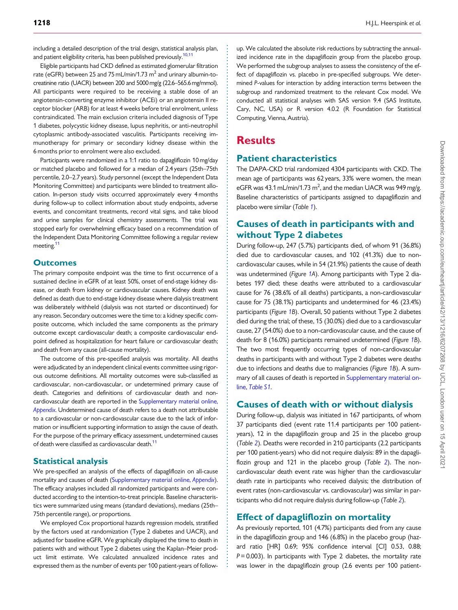. including a detailed description of the trial design, statistical analysis plan, and patient eligibility criteria, has been published previously.<sup>[10,11](#page-10-0)</sup>

Eligible participants had CKD defined as estimated glomerular filtration rate (eGFR) between 25 and 75 mL/min/1.73  $m<sup>2</sup>$  and urinary albumin-tocreatinine ratio (UACR) between 200 and 5000mg/g (22.6–565.6mg/mmol). All participants were required to be receiving a stable dose of an angiotensin-converting enzyme inhibitor (ACEi) or an angiotensin II receptor blocker (ARB) for at least 4 weeks before trial enrolment, unless contraindicated. The main exclusion criteria included diagnosis of Type 1 diabetes, polycystic kidney disease, lupus nephritis, or anti-neutrophil cytoplasmic antibody-associated vasculitis. Participants receiving immunotherapy for primary or secondary kidney disease within the 6 months prior to enrolment were also excluded.

Participants were randomized in a 1:1 ratio to dapagliflozin 10 mg/day or matched placebo and followed for a median of 2.4 years (25th–75th percentile, 2.0–2.7 years). Study personnel (except the Independent Data Monitoring Committee) and participants were blinded to treatment allocation. In-person study visits occurred approximately every 4 months during follow-up to collect information about study endpoints, adverse events, and concomitant treatments, record vital signs, and take blood and urine samples for clinical chemistry assessments. The trial was stopped early for overwhelming efficacy based on a recommendation of the Independent Data Monitoring Committee following a regular review meeting.<sup>11</sup>

#### **Outcomes**

The primary composite endpoint was the time to first occurrence of a sustained decline in eGFR of at least 50%, onset of end-stage kidney disease, or death from kidney or cardiovascular causes. Kidney death was defined as death due to end-stage kidney disease where dialysis treatment was deliberately withheld (dialysis was not started or discontinued) for any reason. Secondary outcomes were the time to: a kidney specific composite outcome, which included the same components as the primary outcome except cardiovascular death; a composite cardiovascular endpoint defined as hospitalization for heart failure or cardiovascular death; and death from any cause (all-cause mortality).

The outcome of this pre-specified analysis was mortality. All deaths were adjudicated by an independent clinical events committee using rigorous outcome definitions. All mortality outcomes were sub-classified as cardiovascular, non-cardiovascular, or undetermined primary cause of death. Categories and definitions of cardiovascular death and noncardiovascular death are reported in the [Supplementary material online,](https://academic.oup.com/eurheartj/article-lookup/doi/10.1093/eurheartj/ehab094#supplementary-data) [Appendix](https://academic.oup.com/eurheartj/article-lookup/doi/10.1093/eurheartj/ehab094#supplementary-data). Undetermined cause of death refers to a death not attributable to a cardiovascular or non-cardiovascular cause due to the lack of information or insufficient supporting information to assign the cause of death. For the purpose of the primary efficacy assessment, undetermined causes of death were classified as cardiovascular death.<sup>11</sup>

#### Statistical analysis

We pre-specified an analysis of the effects of dapagliflozin on all-cause mortality and causes of death ([Supplementary material online,](https://academic.oup.com/eurheartj/article-lookup/doi/10.1093/eurheartj/ehab094#supplementary-data) Appendix). The efficacy analyses included all randomized participants and were conducted according to the intention-to-treat principle. Baseline characteristics were summarized using means (standard deviations), medians (25th– 75th percentile range), or proportions.

We employed Cox proportional hazards regression models, stratified by the factors used at randomization (Type 2 diabetes and UACR), and adjusted for baseline eGFR. We graphically displayed the time to death in patients with and without Type 2 diabetes using the Kaplan–Meier product limit estimate. We calculated annualized incidence rates and expressed them as the number of events per 100 patient-years of followup. We calculated the absolute risk reductions by subtracting the annualized incidence rate in the dapagliflozin group from the placebo group. We performed the subgroup analyses to assess the consistency of the effect of dapagliflozin vs. placebo in pre-specified subgroups. We determined P-values for interaction by adding interaction terms between the subgroup and randomized treatment to the relevant Cox model. We conducted all statistical analyses with SAS version 9.4 (SAS Institute, Cary, NC, USA) or R version 4.0.2 (R Foundation for Statistical Computing, Vienna, Austria).

# Results

#### Patient characteristics

The DAPA-CKD trial randomized 4304 participants with CKD. The mean age of participants was 62 years, 33% were women, the mean eGFR was 43.1 mL/min/1.73 m<sup>2</sup>, and the median UACR was 949 mg/g. Baseline characteristics of participants assigned to dapagliflozin and placebo were similar (Table [1](#page-3-0)).

### Causes of death in participants with and without Type 2 diabetes

During follow-up, 247 (5.7%) participants died, of whom 91 (36.8%) died due to cardiovascular causes, and 102 (41.3%) due to noncardiovascular causes, while in 54 (21.9%) patients the cause of death was undetermined (Figure [1A](#page-4-0)). Among participants with Type 2 diabetes 197 died; these deaths were attributed to a cardiovascular cause for 76 (38.6% of all deaths) participants, a non-cardiovascular cause for 75 (38.1%) participants and undetermined for 46 (23.4%) participants (Figure [1B](#page-4-0)). Overall, 50 patients without Type 2 diabetes died during the trial; of these, 15 (30.0%) died due to a cardiovascular cause, 27 (54.0%) due to a non-cardiovascular cause, and the cause of death for 8 (16.0%) participants remained undetermined (Figure [1B](#page-4-0)). The two most frequently occurring types of non-cardiovascular deaths in participants with and without Type 2 diabetes were deaths due to infections and deaths due to malignancies (Figure [1B](#page-4-0)). A summary of all causes of death is reported in [Supplementary material on](https://academic.oup.com/eurheartj/article-lookup/doi/10.1093/eurheartj/ehab094#supplementary-data)line, [Table S1](https://academic.oup.com/eurheartj/article-lookup/doi/10.1093/eurheartj/ehab094#supplementary-data).

#### Causes of death with or without dialysis

During follow-up, dialysis was initiated in 167 participants, of whom 37 participants died (event rate 11.4 participants per 100 patientyears), 12 in the dapagliflozin group and 25 in the placebo group (Table [2](#page-5-0)). Deaths were recorded in 210 participants (2.2 participants per 100 patient-years) who did not require dialysis: 89 in the dapagli-flozin group and 1[2](#page-5-0)1 in the placebo group (Table 2). The noncardiovascular death event rate was higher than the cardiovascular death rate in participants who received dialysis; the distribution of event rates (non-cardiovascular vs. cardiovascular) was similar in participants who did not require dialysis during follow-up (Table [2](#page-5-0)).

#### Effect of dapagliflozin on mortality

. . . . . . . . . . . . . . . . . . . . . . . . . . . . . . . . . . . . . . . . . . . . . . . . . . . . . . . . . . . . . . . . . . . . . . . . . . . . . . . . . . . . . . . . . . . . . . . . . . . . . . . . . . . . . . . . . . . . . . . . . . . . . . . . . . . . . . . . . . . . . . . . . . . . . . . . . . . . . . . . . . . . . . . . . . . .

As previously reported, 101 (4.7%) participants died from any cause in the dapagliflozin group and 146 (6.8%) in the placebo group (hazard ratio [HR] 0.69; 95% confidence interval [CI] 0.53, 0.88;  $P = 0.003$ ). In participants with Type 2 diabetes, the mortality rate was lower in the dapagliflozin group (2.6 events per 100 patient-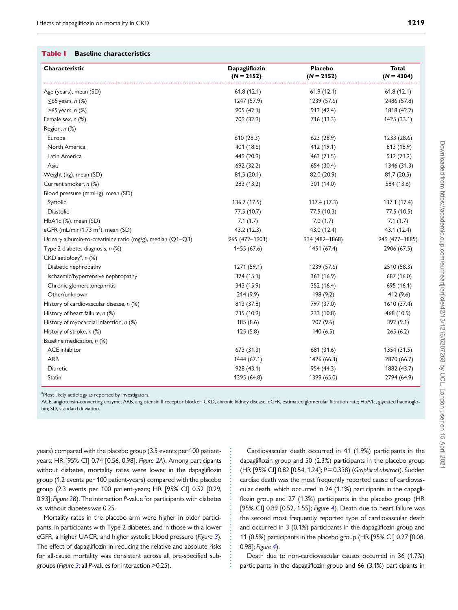| Characteristic                                             | Dapagliflozin  | <b>Placebo</b> | <b>Total</b><br>$(N = 4304)$ |
|------------------------------------------------------------|----------------|----------------|------------------------------|
|                                                            | $(N = 2152)$   | $(N = 2152)$   |                              |
| Age (years), mean (SD)                                     | 61.8(12.1)     | 61.9(12.1)     | 61.8(12.1)                   |
| $\leq$ 65 years, n (%)                                     | 1247 (57.9)    | 1239 (57.6)    | 2486 (57.8)                  |
| >65 years, n (%)                                           | 905(42.1)      | 913 (42.4)     | 1818 (42.2)                  |
| Female sex, n (%)                                          | 709 (32.9)     | 716 (33.3)     | 1425 (33.1)                  |
| Region, n (%)                                              |                |                |                              |
| Europe                                                     | 610 (28.3)     | 623 (28.9)     | 1233 (28.6)                  |
| North America                                              | 401 (18.6)     | 412 (19.1)     | 813 (18.9)                   |
| Latin America                                              | 449 (20.9)     | 463 (21.5)     | 912(21.2)                    |
| Asia                                                       | 692 (32.2)     | 654 (30.4)     | 1346 (31.3)                  |
| Weight (kg), mean (SD)                                     | 81.5 (20.1)    | 82.0 (20.9)    | 81.7 (20.5)                  |
| Current smoker, n (%)                                      | 283 (13.2)     | 301 (14.0)     | 584 (13.6)                   |
| Blood pressure (mmHg), mean (SD)                           |                |                |                              |
| Systolic                                                   | 136.7 (17.5)   | 137.4 (17.3)   | 137.1 (17.4)                 |
| Diastolic                                                  | 77.5 (10.7)    | 77.5 (10.3)    | 77.5 (10.5)                  |
| HbA1c (%), mean (SD)                                       | 7.1(1.7)       | 7.0(1.7)       | 7.1(1.7)                     |
| eGFR (mL/min/1.73 m <sup>2</sup> ), mean (SD)              | 43.2 (12.3)    | 43.0 (12.4)    | 43.1 (12.4)                  |
| Urinary albumin-to-creatinine ratio (mg/g), median (Q1-Q3) | 965 (472-1903) | 934 (482-1868) | 949 (477-1885)               |
| Type 2 diabetes diagnosis, n (%)                           | 1455 (67.6)    | 1451 (67.4)    | 2906 (67.5)                  |
| CKD aetiology <sup>a</sup> , n (%)                         |                |                |                              |
| Diabetic nephropathy                                       | 1271 (59.1)    | 1239 (57.6)    | 2510 (58.3)                  |
| Ischaemic/hypertensive nephropathy                         | 324 (15.1)     | 363 (16.9)     | 687 (16.0)                   |
| Chronic glomerulonephritis                                 | 343 (15.9)     | 352 (16.4)     | 695 (16.1)                   |
| Other/unknown                                              | 214(9.9)       | 198 (9.2)      | 412 (9.6)                    |
| History of cardiovascular disease, n (%)                   | 813 (37.8)     | 797 (37.0)     | 1610 (37.4)                  |
| History of heart failure, n (%)                            | 235 (10.9)     | 233 (10.8)     | 468 (10.9)                   |
| History of myocardial infarction, n (%)                    | 185(8.6)       | 207(9.6)       | 392(9.1)                     |
| History of stroke, n (%)                                   | 125(5.8)       | 140(6.5)       | 265(6.2)                     |
| Baseline medication, n (%)                                 |                |                |                              |
| <b>ACE</b> inhibitor                                       | 673 (31.3)     | 681 (31.6)     | 1354 (31.5)                  |
| ARB                                                        | 1444 (67.1)    | 1426 (66.3)    | 2870 (66.7)                  |
| Diuretic                                                   | 928 (43.1)     | 954 (44.3)     | 1882 (43.7)                  |
| Statin                                                     | 1395 (64.8)    | 1399 (65.0)    | 2794 (64.9)                  |

#### <span id="page-3-0"></span>Table 1 Baseline characteristics

<sup>a</sup>Most likely aetiology as reported by investigators.

ACE, angiotensin-converting enzyme; ARB, angiotensin II receptor blocker; CKD, chronic kidney disease; eGFR, estimated glomerular filtration rate; HbA1c, glycated haemoglobin; SD, standard deviation.

> . . . . . . . . . . . . . . . . . . . . . . . . . . . . . . . . . . . . . . .

years) compared with the placebo group (3.5 events per 100 patientyears; HR [95% CI] 0.74 [0.56, 0.98]; Figure [2](#page-6-0)A). Among participants without diabetes, mortality rates were lower in the dapagliflozin group (1.2 events per 100 patient-years) compared with the placebo group (2.3 events per 100 patient-years; HR [95% CI] 0.52 [0.29, 0.93]; Figure [2B](#page-6-0)). The interaction P-value for participants with diabetes vs. without diabetes was 0.25.

Mortality rates in the placebo arm were higher in older participants, in participants with Type 2 diabetes, and in those with a lower eGFR, a higher UACR, and higher systolic blood pressure (Figure [3](#page-7-0)). The effect of dapagliflozin in reducing the relative and absolute risks for all-cause mortality was consistent across all pre-specified subgroups (Figure [3](#page-7-0); all P-values for interaction >0.25).

Cardiovascular death occurred in 41 (1.9%) participants in the dapagliflozin group and 50 (2.3%) participants in the placebo group (HR [95% CI] 0.82 [0.54, 1.24]; P = 0.338) (Graphical abstract). Sudden cardiac death was the most frequently reported cause of cardiovascular death, which occurred in 24 (1.1%) participants in the dapagliflozin group and 27 (1.3%) participants in the placebo group (HR [95% CI] 0.89 [0.52, 1.55]; Figure [4](#page-8-0)). Death due to heart failure was the second most frequently reported type of cardiovascular death and occurred in 3 (0.1%) participants in the dapagliflozin group and 11 (0.5%) participants in the placebo group (HR [95% CI] 0.27 [0.08, 0.98]; Figure [4](#page-8-0)).

Death due to non-cardiovascular causes occurred in 36 (1.7%) participants in the dapagliflozin group and 66 (3.1%) participants in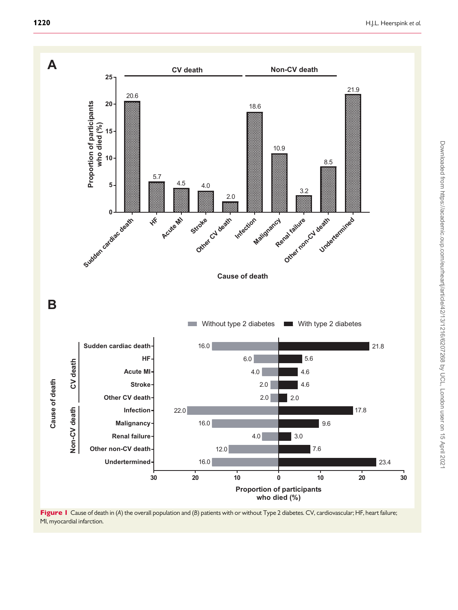<span id="page-4-0"></span>

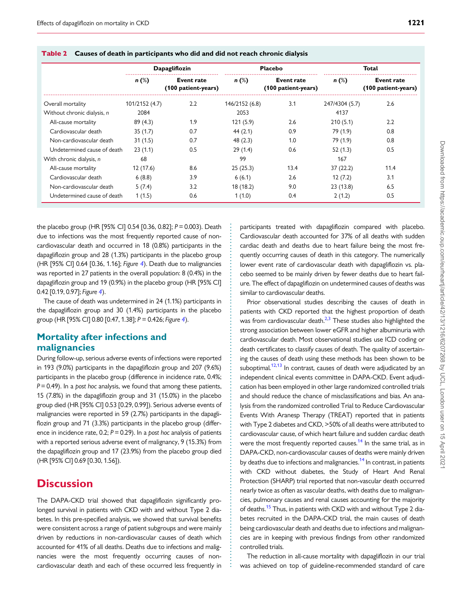|                             |                | <b>Dapagliflozin</b>              |                | <b>Placebo</b>                    | Total          |                                   |  |
|-----------------------------|----------------|-----------------------------------|----------------|-----------------------------------|----------------|-----------------------------------|--|
|                             | $n$ (%)        | Event rate<br>(100 patient-years) | $n(\%)$        | Event rate<br>(100 patient-years) | $n$ (%)        | Event rate<br>(100 patient-years) |  |
| Overall mortality           | 101/2152 (4.7) | 2.2                               | 146/2152 (6.8) | 3.1                               | 247/4304 (5.7) | 2.6                               |  |
| Without chronic dialysis, n | 2084           |                                   | 2053           |                                   | 4137           |                                   |  |
| All-cause mortality         | 89(4.3)        | 1.9                               | 121(5.9)       | 2.6                               | 210(5.1)       | 2.2                               |  |
| Cardiovascular death        | 35(1.7)        | 0.7                               | 44 (2.1)       | 0.9                               | 79 (1.9)       | 0.8                               |  |
| Non-cardiovascular death    | 31(1.5)        | 0.7                               | 48(2.3)        | 1.0                               | 79 (1.9)       | 0.8                               |  |
| Undetermined cause of death | 23(1.1)        | 0.5                               | 29(1.4)        | 0.6                               | 52(1.3)        | 0.5                               |  |
| With chronic dialysis, n    | 68             |                                   | 99             |                                   | 167            |                                   |  |
| All-cause mortality         | 12 (17.6)      | 8.6                               | 25(25.3)       | 13.4                              | 37(22.2)       | 11.4                              |  |
| Cardiovascular death        | 6(8.8)         | 3.9                               | 6(6.1)         | 2.6                               | 12(7.2)        | 3.1                               |  |
| Non-cardiovascular death    | 5(7.4)         | 3.2                               | 18 (18.2)      | 9.0                               | 23(13.8)       | 6.5                               |  |
| Undetermined cause of death | 1(1.5)         | 0.6                               | 1(1.0)         | 0.4                               | 2(1.2)         | 0.5                               |  |

. . . . . . . . . . . . . . . . . . . . . . . . . . . . . . . . . . . . . . . . . . . . . . . . . . . . . . . . . . . . . . . . . . . . . . . . . . . . . . . . . . . . . . . . . . . . . . . . . . . . . . . . . . . . . . . . .

<span id="page-5-0"></span>

|  |  |  |  | Table 2 Causes of death in participants who did and did not reach chronic dialysis |
|--|--|--|--|------------------------------------------------------------------------------------|
|--|--|--|--|------------------------------------------------------------------------------------|

. the placebo group (HR [95% CI] 0.54 [0.36, 0.82]; <sup>P</sup>= 0.003). Death due to infections was the most frequently reported cause of noncardiovascular death and occurred in 18 (0.8%) participants in the dapagliflozin group and 28 (1.3%) participants in the placebo group (HR [95% CI] 0.64 [0.36, 1.16]; Figure [4](#page-8-0)). Death due to malignancies was reported in 27 patients in the overall population: 8 (0.4%) in the dapagliflozin group and 19 (0.9%) in the placebo group (HR [95% CI] 0.[4](#page-8-0)2 [0.19, 0.97]; Figure 4).

The cause of death was undetermined in 24 (1.1%) participants in the dapagliflozin group and 30 (1.4%) participants in the placebo group (HR [95% CI] 0.80 [0.47, 1.38]; P = 0.426; Figure [4](#page-8-0)).

## Mortality after infections and malignancies

During follow-up, serious adverse events of infections were reported in 193 (9.0%) participants in the dapagliflozin group and 207 (9.6%) participants in the placebo group (difference in incidence rate, 0.4%;  $P = 0.49$ ). In a post hoc analysis, we found that among these patients, 15 (7.8%) in the dapagliflozin group and 31 (15.0%) in the placebo group died (HR [95% CI] 0.53 [0.29, 0.99]). Serious adverse events of malignancies were reported in 59 (2.7%) participants in the dapagliflozin group and 71 (3.3%) participants in the placebo group (difference in incidence rate, 0.2;  $P = 0.29$ ). In a post hoc analysis of patients with a reported serious adverse event of malignancy, 9 (15.3%) from the dapagliflozin group and 17 (23.9%) from the placebo group died (HR [95% CI] 0.69 [0.30, 1.56]).

# **Discussion**

The DAPA-CKD trial showed that dapagliflozin significantly prolonged survival in patients with CKD with and without Type 2 diabetes. In this pre-specified analysis, we showed that survival benefits were consistent across a range of patient subgroups and were mainly driven by reductions in non-cardiovascular causes of death which accounted for 41% of all deaths. Deaths due to infections and malignancies were the most frequently occurring causes of noncardiovascular death and each of these occurred less frequently in

participants treated with dapagliflozin compared with placebo. Cardiovascular death accounted for 37% of all deaths with sudden cardiac death and deaths due to heart failure being the most frequently occurring causes of death in this category. The numerically lower event rate of cardiovascular death with dapagliflozin vs. placebo seemed to be mainly driven by fewer deaths due to heart failure. The effect of dapagliflozin on undetermined causes of deaths was similar to cardiovascular deaths.

Prior observational studies describing the causes of death in patients with CKD reported that the highest proportion of death was from cardiovascular death. $2,3$  These studies also highlighted the strong association between lower eGFR and higher albuminuria with cardiovascular death. Most observational studies use ICD coding or death certificates to classify causes of death. The quality of ascertaining the causes of death using these methods has been shown to be suboptimal. $12,13$  In contrast, causes of death were adjudicated by an independent clinical events committee in DAPA-CKD. Event adjudication has been employed in other large randomized controlled trials and should reduce the chance of misclassifications and bias. An analysis from the randomized controlled Trial to Reduce Cardiovascular Events With Aranesp Therapy (TREAT) reported that in patients with Type 2 diabetes and CKD, >50% of all deaths were attributed to cardiovascular cause, of which heart failure and sudden cardiac death were the most frequently reported causes.<sup>14</sup> In the same trial, as in DAPA-CKD, non-cardiovascular causes of deaths were mainly driven by deaths due to infections and malignancies.<sup>14</sup> In contrast, in patients with CKD without diabetes, the Study of Heart And Renal Protection (SHARP) trial reported that non-vascular death occurred nearly twice as often as vascular deaths, with deaths due to malignancies, pulmonary causes and renal causes accounting for the majority of deaths.<sup>15</sup> Thus, in patients with CKD with and without Type 2 diabetes recruited in the DAPA-CKD trial, the main causes of death being cardiovascular death and deaths due to infections and malignancies are in keeping with previous findings from other randomized controlled trials.

The reduction in all-cause mortality with dapagliflozin in our trial was achieved on top of guideline-recommended standard of care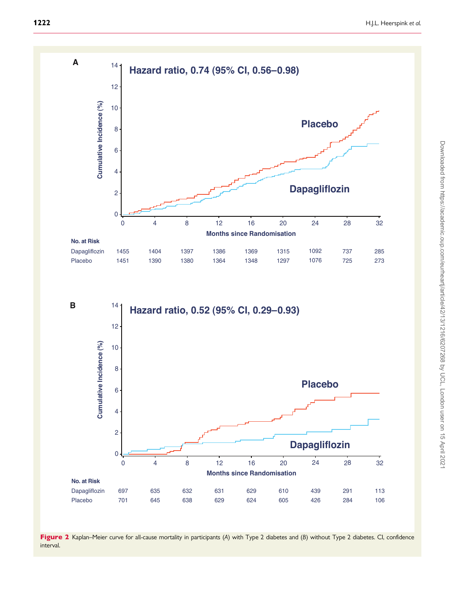<span id="page-6-0"></span>



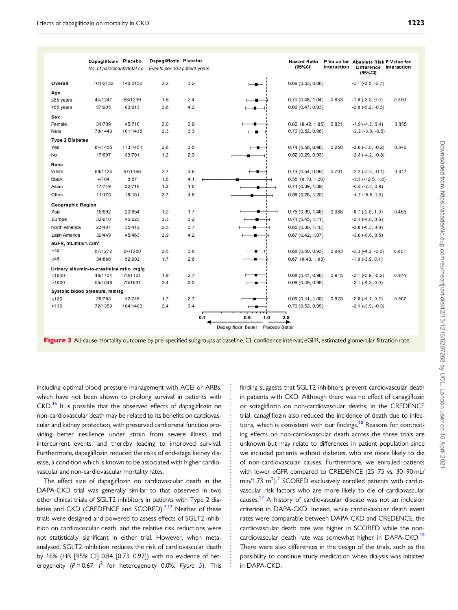<span id="page-7-0"></span>

|                                           | Dapagliflozin Placebo<br>No. of participants/total no. |          | Dapagliflozin Placebo<br>Events per 100 patient-years |     |                                        | <b>Hazard Ratio</b><br>(95%CI) | Interaction | P Value for Absolute Risk P Value for<br>Difference Interaction |       |
|-------------------------------------------|--------------------------------------------------------|----------|-------------------------------------------------------|-----|----------------------------------------|--------------------------------|-------------|-----------------------------------------------------------------|-------|
|                                           |                                                        |          |                                                       |     |                                        |                                |             | (95%CI)                                                         |       |
| Overall                                   | 101/2152                                               | 146/2152 | 2.2                                                   | 3.2 |                                        | 0.69(0.53, 0.88)               |             | $-2.1$ $(-3.5, -0.7)$                                           |       |
| Age                                       |                                                        |          |                                                       |     |                                        |                                |             |                                                                 |       |
| $≤65$ years                               | 44/1247                                                | 63/1239  | 1.6                                                   | 2.4 |                                        | 0.70(0.48, 1.04)               | 0.833       | $-1.6$ $(-3.2, 0.0)$                                            | 0.390 |
| >65 years                                 | 57/905                                                 | 83/913   | 2.8                                                   | 4.2 |                                        | 0.66(0.47, 0.93)               |             | $-2.8(-5.2, -0.3)$                                              |       |
| <b>Sex</b>                                |                                                        |          |                                                       |     |                                        |                                |             |                                                                 |       |
| Female                                    | 31/709                                                 | 45/716   | 2.0                                                   | 2.9 |                                        | $0.66$ $(0.42, 1.05)$          | 0.821       | $-1.9(-4.2, 0.4)$                                               | 0.855 |
| Male                                      | 70/1443                                                | 101/1436 | 2.3                                                   | 3.3 |                                        | 0.70(0.52, 0.96)               |             | $-2.2$ $(-3.9, -0.5)$                                           |       |
| <b>Type 2 Diabetes</b>                    |                                                        |          |                                                       |     |                                        |                                |             |                                                                 |       |
| Yes                                       | 84/1455                                                | 113/1451 | 2.6                                                   | 3.5 |                                        | 0.74(0.56, 0.98)               | 0.250       | $-2.0$ $(-3.8, -0.2)$                                           | 0.846 |
| No                                        | 17/697                                                 | 33/701   | 1.2                                                   | 2.3 |                                        | 0.52(0.29, 0.93)               |             | $-2.3$ $(-4.2, -0.3)$                                           |       |
| Race                                      |                                                        |          |                                                       |     |                                        |                                |             |                                                                 |       |
| White                                     | 69/1124                                                | 97/1166  | 2.7                                                   | 3.6 |                                        | 0.73(0.54, 0.99)               | 0.701       | $-2.2$ ( $-4.3$ , $-0.1$ )                                      | 0.317 |
| Black                                     | 4/104                                                  | 8/87     | 1.6                                                   | 4.1 |                                        | $0.35$ $(0.10, 1.20)$          |             | $-5.3$ $(-12.5, 1.8)$                                           |       |
| Asian                                     | 17/749                                                 | 22/718   | 1.2                                                   | 1.6 |                                        | 0.74(0.39, 1.39)               |             | $-0.8$ $(-2.4, 0.9)$                                            |       |
| Other                                     | 11/175                                                 | 19/181   | 2.7                                                   | 4.6 |                                        | 0.59(0.28, 1.25)               |             | $-4.2$ ( $-9.9, 1.5$ )                                          |       |
| <b>Geographic Region</b>                  |                                                        |          |                                                       |     |                                        |                                |             |                                                                 |       |
| Asia                                      | 16/692                                                 | 20/654   | 1.2                                                   | 1.7 |                                        | 0.75(0.39, 1.46)               | 0.988       | $-0.7$ $(-2.5, 1.0)$                                            | 0.465 |
| Europe                                    | 32/610                                                 | 46/623   | 2.3                                                   | 3.2 |                                        | 0.71(0.45, 1.11)               |             | $-2.1$ ( $-4.8, 0.6$ )                                          |       |
| North America                             | 23/401                                                 | 35/412   | 2.5                                                   | 3.7 |                                        | 0.65(0.38, 1.10)               |             | $-2.8(-6.3, 0.8)$                                               |       |
| Latin America                             | 30/449                                                 | 45/463   | 2.9                                                   | 4.2 |                                        | 0.67(0.42, 1.07)               |             | $-3.0$ $(-6.6, 0.5)$                                            |       |
| eGFR, mL/min/1.73m <sup>2</sup>           |                                                        |          |                                                       |     |                                        |                                |             |                                                                 |       |
| < 45                                      | 67/1272                                                | 94/1250  | 2.5                                                   | 3.6 | -                                      | 0.68(0.50, 0.93)               | 0.963       | $-2.3$ $(-4.2, -0.3)$                                           | 0.801 |
| $\geq 45$                                 | 34/880                                                 | 52/902   | 1.7                                                   | 2.6 |                                        | $0.67$ $(0.43, 1.03)$          |             | $-1.9(-3.9, 0.1)$                                               |       |
| Urinary albumin-to-creatinine ratio, mg/g |                                                        |          |                                                       |     |                                        |                                |             |                                                                 |       |
| ≤1000                                     | 46/1104                                                | 70/1121  | 1.9                                                   | 2.7 |                                        | 0.68(0.47, 0.98)               | 0.915       | $-2.1$ $(-3.9, -0.2)$                                           | 0.974 |
| >1000                                     | 55/1048                                                | 76/1031  | 2.4                                                   | 3.5 |                                        | 0.69(0.49, 0.98)               |             | $-2.1(-4.2, 0.0)$                                               |       |
|                                           | Systolic blood pressure, mmHg                          |          |                                                       |     |                                        |                                |             |                                                                 |       |
| $≤130$                                    | 29/793                                                 | 42/749   | 1.7                                                   | 2.7 |                                        | 0.65(0.41, 1.05)               | 0.825       | $-2.0$ $(-4.1, 0.2)$                                            | 0.907 |
| >130                                      | 72/1359                                                | 104/1403 | 2.4                                                   | 3.4 |                                        | 0.70(0.52, 0.95)               |             | $-2.1$ $(-3.9, -0.3)$                                           |       |
|                                           |                                                        |          |                                                       | 0.1 | 0.5<br>1.0                             | 2.0                            |             |                                                                 |       |
|                                           |                                                        |          |                                                       |     |                                        |                                |             |                                                                 |       |
|                                           |                                                        |          |                                                       |     | Dapagliflozin Better<br>Placebo Better |                                |             |                                                                 |       |

Figure 3 All-cause mortality outcome by pre-specified subgroups at baseline. CI, confidence interval; eGFR, estimated glomerular filtration rate.

. . . . . . . . . . . . . . . . . . . . . . . . . . . . . . . . . . . . . . . . . . . . . . . . . . . . . . . . . . . .

. including optimal blood pressure management with ACEi or ARBs, which have not been shown to prolong survival in patients with CKD.<sup>[16](#page-11-0)</sup> It is possible that the observed effects of dapagliflozin on non-cardiovascular death may be related to its benefits on cardiovascular and kidney protection, with preserved cardiorenal function providing better resilience under strain from severe illness and intercurrent events, and thereby leading to improved survival. Furthermore, dapagliflozin reduced the risks of end-stage kidney disease, a condition which is known to be associated with higher cardiovascular and non-cardiovascular mortality rates.

The effect size of dapagliflozin on cardiovascular death in the DAPA-CKD trial was generally similar to that observed in two other clinical trials of SGLT2 inhibitors in patients with Type 2 dia-betes and CKD (CREDENCE and SCORED).<sup>7,[17](#page-11-0)</sup> Neither of these trials were designed and powered to assess effects of SGLT2 inhibition on cardiovascular death, and the relative risk reductions were not statistically significant in either trial. However, when metaanalysed, SGLT2 inhibition reduces the risk of cardiovascular death by 16% (HR [95% CI] 0.84 [0.73, 0.97]) with no evidence of heterogeneity ( $P = 0.67$ ;  $l^2$  for heterogeneity 0.0%; Figure [5](#page-9-0)). This

finding suggests that SGLT2 inhibitors prevent cardiovascular death in patients with CKD. Although there was no effect of canagliflozin or sotagliflozin on non-cardiovascular deaths, in the CREDENCE trial, canagliflozin also reduced the incidence of death due to infec-tions, which is consistent with our findings.<sup>[18](#page-11-0)</sup> Reasons for contrasting effects on non-cardiovascular death across the three trials are unknown but may relate to differences in patient population since we included patients without diabetes, who are more likely to die of non-cardiovascular causes. Furthermore, we enrolled patients with lower eGFR compared to CREDENCE (25–75 vs. 30–90 mL/  $min/1.73$  $min/1.73$  $min/1.73$   $m^2$ ).<sup>7</sup> SCORED exclusively enrolled patients with cardiovascular risk factors who are more likely to die of cardiovascular causes.[17](#page-11-0) A history of cardiovascular disease was not an inclusion criterion in DAPA-CKD. Indeed, while cardiovascular death event rates were comparable between DAPA-CKD and CREDENCE, the cardiovascular death rate was higher in SCORED while the non-cardiovascular death rate was somewhat higher in DAPA-CKD.<sup>[19](#page-11-0)</sup> There were also differences in the design of the trials, such as the possibility to continue study medication when dialysis was initiated in DAPA-CKD.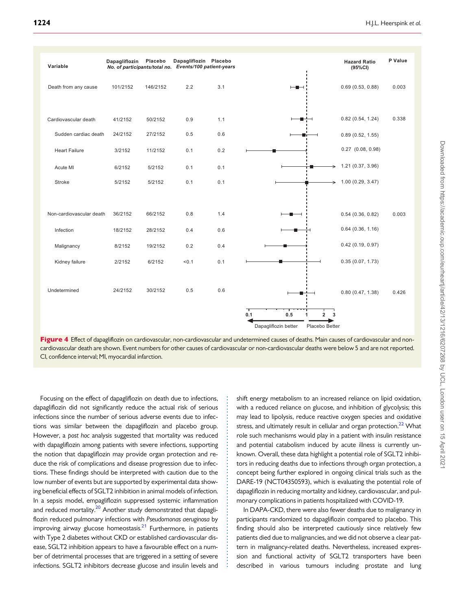<span id="page-8-0"></span>

Figure 4 Effect of dapagliflozin on cardiovascular, non-cardiovascular and undetermined causes of deaths. Main causes of cardiovascular and noncardiovascular death are shown. Event numbers for other causes of cardiovascular or non-cardiovascular deaths were below 5 and are not reported. CI, confidence interval; MI, myocardial infarction.

> . . . . . . . . . . . . . . . . . . . . . . . . . . . . . . . . . . . . . . . . . . . . . . . . . . . . . . . .

. Focusing on the effect of dapagliflozin on death due to infections, dapagliflozin did not significantly reduce the actual risk of serious infections since the number of serious adverse events due to infections was similar between the dapagliflozin and placebo group. However, a post hoc analysis suggested that mortality was reduced with dapagliflozin among patients with severe infections, supporting the notion that dapagliflozin may provide organ protection and reduce the risk of complications and disease progression due to infections. These findings should be interpreted with caution due to the low number of events but are supported by experimental data showing beneficial effects of SGLT2 inhibition in animal models of infection. In a sepsis model, empagliflozin suppressed systemic inflammation and reduced mortality.<sup>20</sup> Another study demonstrated that dapagliflozin reduced pulmonary infections with Pseudomonas aeruginosa by improving airway glucose homeostasis. $2<sup>1</sup>$  Furthermore, in patients with Type 2 diabetes without CKD or established cardiovascular disease, SGLT2 inhibition appears to have a favourable effect on a number of detrimental processes that are triggered in a setting of severe infections. SGLT2 inhibitors decrease glucose and insulin levels and shift energy metabolism to an increased reliance on lipid oxidation, with a reduced reliance on glucose, and inhibition of glycolysis; this may lead to lipolysis, reduce reactive oxygen species and oxidative stress, and ultimately result in cellular and organ protection.<sup>[22](#page-11-0)</sup> What role such mechanisms would play in a patient with insulin resistance and potential catabolism induced by acute illness is currently unknown. Overall, these data highlight a potential role of SGLT2 inhibitors in reducing deaths due to infections through organ protection, a concept being further explored in ongoing clinical trials such as the DARE-19 (NCT04350593), which is evaluating the potential role of dapagliflozin in reducing mortality and kidney, cardiovascular, and pulmonary complications in patients hospitalized with COVID-19.

In DAPA-CKD, there were also fewer deaths due to malignancy in participants randomized to dapagliflozin compared to placebo. This finding should also be interpreted cautiously since relatively few patients died due to malignancies, and we did not observe a clear pattern in malignancy-related deaths. Nevertheless, increased expression and functional activity of SGLT2 transporters have been described in various tumours including prostate and lung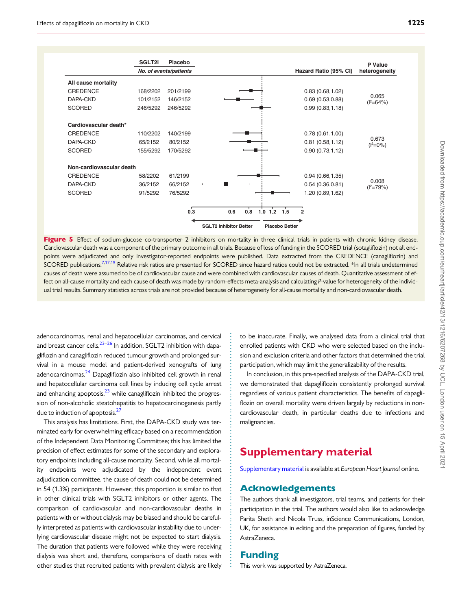<span id="page-9-0"></span>

Figure 5 Effect of sodium-glucose co-transporter 2 inhibitors on mortality in three clinical trials in patients with chronic kidney disease. Cardiovascular death was a component of the primary outcome in all trials. Because of loss of funding in the SCORED trial (sotagliflozin) not all endpoints were adjudicated and only investigator-reported endpoints were published. Data extracted from the CREDENCE (canagliflozin) and SCORED publications.<sup>7[,17,19](#page-11-0)</sup> Relative risk ratios are presented for SCORED since hazard ratios could not be extracted. \*In all trials undetermined causes of death were assumed to be of cardiovascular cause and were combined with cardiovascular causes of death. Quantitative assessment of effect on all-cause mortality and each cause of death was made by random-effects meta-analysis and calculating P-value for heterogeneity of the individual trial results. Summary statistics across trials are not provided because of heterogeneity for all-cause mortality and non-cardiovascular death.

. adenocarcinomas, renal and hepatocellular carcinomas, and cervical and breast cancer cells.<sup>23–26</sup> In addition, SGLT2 inhibition with dapagliflozin and canagliflozin reduced tumour growth and prolonged survival in a mouse model and patient-derived xenografts of lung adenocarcinomas.<sup>[24](#page-11-0)</sup> Dapagliflozin also inhibited cell growth in renal and hepatocellular carcinoma cell lines by inducing cell cycle arrest and enhancing apoptosis, $^{23}$  while canagliflozin inhibited the progression of non-alcoholic steatohepatitis to hepatocarcinogenesis partly due to induction of apoptosis.<sup>27</sup>

This analysis has limitations. First, the DAPA-CKD study was terminated early for overwhelming efficacy based on a recommendation of the Independent Data Monitoring Committee; this has limited the precision of effect estimates for some of the secondary and exploratory endpoints including all-cause mortality. Second, while all mortality endpoints were adjudicated by the independent event adjudication committee, the cause of death could not be determined in 54 (1.3%) participants. However, this proportion is similar to that in other clinical trials with SGLT2 inhibitors or other agents. The comparison of cardiovascular and non-cardiovascular deaths in patients with or without dialysis may be biased and should be carefully interpreted as patients with cardiovascular instability due to underlying cardiovascular disease might not be expected to start dialysis. The duration that patients were followed while they were receiving dialysis was short and, therefore, comparisons of death rates with other studies that recruited patients with prevalent dialysis are likely

to be inaccurate. Finally, we analysed data from a clinical trial that enrolled patients with CKD who were selected based on the inclusion and exclusion criteria and other factors that determined the trial participation, which may limit the generalizability of the results.

In conclusion, in this pre-specified analysis of the DAPA-CKD trial, we demonstrated that dapagliflozin consistently prolonged survival regardless of various patient characteristics. The benefits of dapagliflozin on overall mortality were driven largely by reductions in noncardiovascular death, in particular deaths due to infections and malignancies.

# Supplementary material

[Supplementary material](https://academic.oup.com/eurheartj/article-lookup/doi/10.1093/eurheartj/ehab094#supplementary-data) is available at European Heart Journal online.

## Acknowledgements

The authors thank all investigators, trial teams, and patients for their participation in the trial. The authors would also like to acknowledge Parita Sheth and Nicola Truss, inScience Communications, London, UK, for assistance in editing and the preparation of figures, funded by AstraZeneca.

#### Funding

. . . . . . . . . . . . . . . . . . . . . . . . . . . . . . . . . . . . . . . . . . . . . . . . . . . . . . . . . . . . . . . . . . . . . . . . . . . . .

This work was supported by AstraZeneca.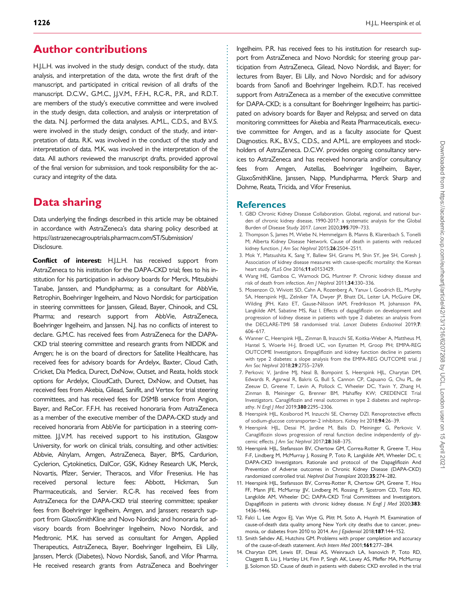# <span id="page-10-0"></span>. Author contributions

H.J.L.H. was involved in the study design, conduct of the study, data analysis, and interpretation of the data, wrote the first draft of the manuscript, and participated in critical revision of all drafts of the manuscript. D.C.W., G.M.C., J.J.V.M., F.F.H., R.C-R., P.R., and R.D.T. are members of the study's executive committee and were involved in the study design, data collection, and analysis or interpretation of the data. N.J. performed the data analyses. A.M.L., C.D.S., and B.V.S. were involved in the study design, conduct of the study, and interpretation of data. R.K. was involved in the conduct of the study and interpretation of data. M.K. was involved in the interpretation of the data. All authors reviewed the manuscript drafts, provided approval of the final version for submission, and took responsibility for the accuracy and integrity of the data.

# Data sharing

Data underlying the findings described in this article may be obtained in accordance with AstraZeneca's data sharing policy described at [https://astrazenecagrouptrials.pharmacm.com/ST/Submission/](https://astrazenecagrouptrials.pharmacm.com/ST/Submission/Disclosure) [Disclosure.](https://astrazenecagrouptrials.pharmacm.com/ST/Submission/Disclosure)

Conflict of interest: H.J.L.H. has received support from AstraZeneca to his institution for the DAPA-CKD trial; fees to his institution for his participation in advisory boards for Merck, Mitsubishi Tanabe, Janssen, and Mundipharma; as a consultant for AbbVie, Retrophin, Boehringer Ingelheim, and Novo Nordisk; for participation in steering committees for Janssen, Gilead, Bayer, Chinook, and CSL Pharma; and research support from AbbVie, AstraZeneca, Boehringer Ingelheim, and Janssen. N.J. has no conflicts of interest to declare. G.M.C. has received fees from AstraZeneca for the DAPA-CKD trial steering committee and research grants from NIDDK and Amgen; he is on the board of directors for Satellite Healthcare, has received fees for advisory boards for Ardelyx, Baxter, Cloud Cath, Cricket, Dia Medica, Durect, DxNow, Outset, and Reata, holds stock options for Ardelyx, CloudCath, Durect, DxNow, and Outset, has received fees from Akebia, Gilead, Sanifit, and Vertex for trial steering committees, and has received fees for DSMB service from Angion, Bayer, and ReCor. F.F.H. has received honoraria from AstraZeneca as a member of the executive member of the DAPA-CKD study and received honoraria from AbbVie for participation in a steering committee. J.J.V.M. has received support to his institution, Glasgow University, for work on clinical trials, consulting, and other activities: Abbvie, Alnylam, Amgen, AstraZeneca, Bayer, BMS, Cardurion, Cyclerion, Cytokinetics, DalCor, GSK, Kidney Research UK, Merck, Novartis, Pfizer, Servier, Theracos, and Vifor Fresenius. He has received personal lecture fees: Abbott, Hickman, Sun Pharmaceuticals, and Servier. R.C-R. has received fees from AstraZeneca for the DAPA-CKD trial steering committee; speaker fees from Boehringer Ingelheim, Amgen, and Janssen; research support from GlaxoSmithKline and Novo Nordisk; and honoraria for advisory boards from Boehringer Ingelheim, Novo Nordisk, and Medtronic. M.K. has served as consultant for Amgen, Applied Therapeutics, AstraZeneca, Bayer, Boehringer Ingelheim, Eli Lilly, Janssen, Merck (Diabetes), Novo Nordisk, Sanofi, and Vifor Pharma. He received research grants from AstraZeneca and Boehringer

Ingelheim. P.R. has received fees to his institution for research support from AstraZeneca and Novo Nordisk; for steering group participation from AstraZeneca, Gilead, Novo Nordisk, and Bayer; for lectures from Bayer, Eli Lilly, and Novo Nordisk; and for advisory boards from Sanofi and Boehringer Ingelheim. R.D.T. has received support from AstraZeneca as a member of the executive committee for DAPA-CKD; is a consultant for Boehringer Ingelheim; has participated on advisory boards for Bayer and Relypsa; and served on data monitoring committees for Akebia and Reata Pharmaceuticals, executive committee for Amgen, and as a faculty associate for Quest Diagnostics. R.K., B.V.S., C.D.S., and A.M.L. are employees and stockholders of AstraZeneca. D.C.W. provides ongoing consultancy services to AstraZeneca and has received honoraria and/or consultancy fees from Amgen, Astellas, Boehringer Ingelheim, Bayer, GlaxoSmithKline, Janssen, Napp, Mundipharma, Merck Sharp and Dohme, Reata, Tricida, and Vifor Fresenius.

#### References

- [1.](#page-1-0) GBD Chronic Kidney Disease Collaboration. Global, regional, and national burden of chronic kidney disease, 1990-2017: a systematic analysis for the Global Burden of Disease Study 2017. Lancet 2020;395:709–733.
- [2.](#page-5-0) Thompson S, James M, Wiebe N, Hemmelgarn B, Manns B, Klarenbach S, Tonelli M; Alberta Kidney Disease Network. Cause of death in patients with reduced kidney function. J Am Soc Nephrol 2015;26:2504-2511.
- [3.](#page-5-0) Mok Y, Matsushita K, Sang Y, Ballew SH, Grams M, Shin SY, Jee SH, Coresh J. Association of kidney disease measures with cause-specific mortality: the Korean heart study. PLoS One 2016;11:e0153429.
- 4. Wang HE, Gamboa C, Warnock DG, Muntner P. Chronic kidney disease and risk of death from infection. Am J Nephrol 2011;34:330–336.
- 5. Mosenzon O, Wiviott SD, Cahn A, Rozenberg A, Yanuv I, Goodrich EL, Murphy SA, Heerspink HJL, Zelniker TA, Dwyer JP, Bhatt DL, Leiter LA, McGuire DK, Wilding JPH, Kato ET, Gause-Nilsson IAM, Fredriksson M, Johansson PA, Langkilde AM, Sabatine MS, Raz I. Effects of dapagliflozin on development and progression of kidney disease in patients with type 2 diabetes: an analysis from the DECLARE-TIMI 58 randomised trial. Lancet Diabetes Endocrinol 2019;7: 606–617.
- 6. Wanner C, Heerspink HJL, Zinman B, Inzucchi SE, Koitka-Weber A, Mattheus M, Hantel S, Woerle H-J, Broedl UC, von Eynatten M, Groop PH; EMPA-REG OUTCOME Investigators. Empagliflozin and kidney function decline in patients with type 2 diabetes: a slope analysis from the EMPA-REG OUTCOME trial. J Am Soc Nephrol 2018;29:2755-2769.
- [7.](#page-7-0) Perkovic V, Jardine MJ, Neal B, Bompoint S, Heerspink HJL, Charytan DM, Edwards R, Agarwal R, Bakris G, Bull S, Cannon CP, Capuano G, Chu PL, de Zeeuw D, Greene T, Levin A, Pollock C, Wheeler DC, Yavin Y, Zhang H, Zinman B, Meininger G, Brenner BM, Mahaffey KW; CREDENCE Trial Investigators. Canagliflozin and renal outcomes in type 2 diabetes and nephropathy. N Engl J Med 2019;380:2295-2306.
- [8.](#page-1-0) Heerspink HJL, Kosiborod M, Inzucchi SE, Cherney DZI. Renoprotective effects of sodium-glucose cotransporter-2 inhibitors. Kidney Int 2018;94:26–39.
- [9.](#page-1-0) Heerspink HJL, Desai M, Jardine M, Balis D, Meininger G, Perkovic V. Canagliflozin slows progression of renal function decline independently of glycemic effects. J Am Soc Nephrol 2017:28:368-375.
- [10.](#page-1-0) Heerspink HJL, Stefansson BV, Chertow GM, Correa-Rotter R, Greene T, Hou F-F, Lindberg M, McMurray J, Rossing P, Toto R, Langkilde AM, Wheeler DC, t; DAPA-CKD Investigators. Rationale and protocol of the Dapagliflozin And Prevention of Adverse outcomes in Chronic Kidney Disease (DAPA-CKD) randomized controlled trial. Nephrol Dial Transplant 2020;35:274–282.
- [11.](#page-1-0) Heerspink HJL, Stefansson BV, Correa-Rotter R, Chertow GM, Greene T, Hou FF, Mann JFE, McMurray JJV, Lindberg M, Rossing P, Sjostrom CD, Toto RD, Langkilde AM, Wheeler DC; DAPA-CKD Trial Committees and Investigators. Dapagliflozin in patients with chronic kidney disease. N Engl J Med 2020;383: 1436–1446.
- [12.](#page-5-0) Falci L, Lee Argov EJ, Van Wye G, Plitt M, Soto A, Huynh M. Examination of cause-of-death data quality among New York city deaths due to cancer, pneumonia, or diabetes from 2010 to 2014. Am | Epidemiol 2018;187:144-152.
- [13.](#page-5-0) Smith Sehdev AE, Hutchins GM. Problems with proper completion and accuracy of the cause-of-death statement. Arch Intern Med 2001;161:277–284.
- [14.](#page-5-0) Charytan DM, Lewis EF, Desai AS, Weinrauch LA, Ivanovich P, Toto RD, Claggett B, Liu J, Hartley LH, Finn P, Singh AK, Levey AS, Pfeffer MA, McMurray JJ, Solomon SD. Cause of death in patients with diabetic CKD enrolled in the trial

. . . . . . . . . . . . . . . . . . . . . . . . . . . . . . . . . . . . . . . . . . . . . . . . . . . . . . . . . . . . . . . . . . . . . . . . . . . . . . . . . . . . . . . . . . . . . . . . . . . . . . . . . . . . . . . . . . . . . . . . . . . . . . . . . . . . . . . . . . . . . . . . . . . . . . . . . . . . . . . . . . . . . . . . . . . .